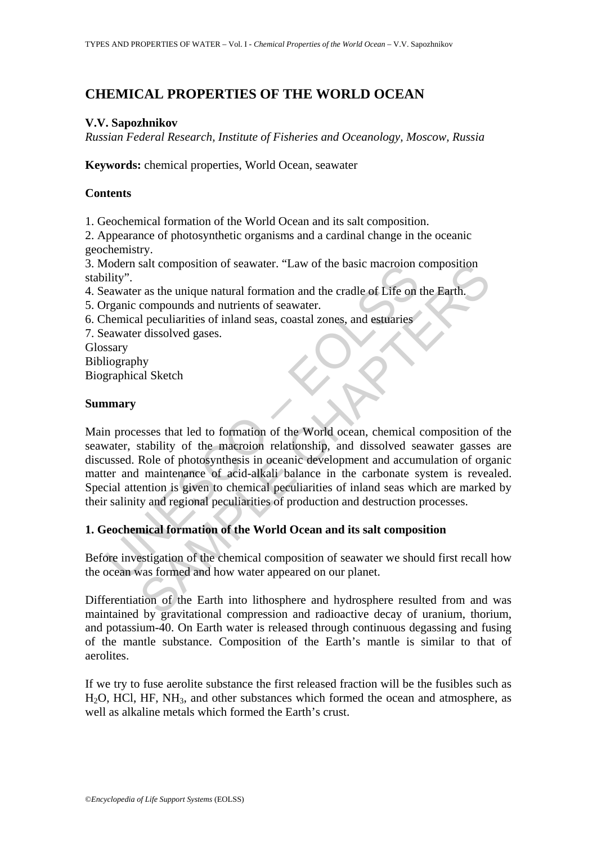# **CHEMICAL PROPERTIES OF THE WORLD OCEAN**

## **V.V. Sapozhnikov**

*Russian Federal Research, Institute of Fisheries and Oceanology, Moscow, Russia*

**Keywords:** chemical properties, World Ocean, seawater

## **Contents**

1. Geochemical formation of the World Ocean and its salt composition.

2. Appearance of photosynthetic organisms and a cardinal change in the oceanic geochemistry.

3. Modern salt composition of seawater. "Law of the basic macroion composition stability".

- 4. Seawater as the unique natural formation and the cradle of Life on the Earth.
- 5. Organic compounds and nutrients of seawater.
- 6. Chemical peculiarities of inland seas, coastal zones, and estuaries
- 7. Seawater dissolved gases.

Glossary

Bibliography

Biographical Sketch

#### **Summary**

Dideri salt composition of seawater. Law of the basic macronomics ility".<br>Thiliy".<br>The real mean and numerist of seawater. Law of the basic macronomic<br>real mean and numerity of seawater.<br>
And the compounds and numerity of salt composition of seawater. "Law of the basic macroion composition<br>
r as the unique natural formation and the cradle of Life on the Barth.<br>
compounds and nutrients of seawater.<br>
r dissolved gases.<br>
Hy<br>
hy<br>
al Sketch<br>
hy<br> Main processes that led to formation of the World ocean, chemical composition of the seawater, stability of the macroion relationship, and dissolved seawater gasses are discussed. Role of photosynthesis in oceanic development and accumulation of organic matter and maintenance of acid-alkali balance in the carbonate system is revealed. Special attention is given to chemical peculiarities of inland seas which are marked by their salinity and regional peculiarities of production and destruction processes.

## **1. Geochemical formation of the World Ocean and its salt composition**

Before investigation of the chemical composition of seawater we should first recall how the ocean was formed and how water appeared on our planet.

Differentiation of the Earth into lithosphere and hydrosphere resulted from and was maintained by gravitational compression and radioactive decay of uranium, thorium, and potassium-40. On Earth water is released through continuous degassing and fusing of the mantle substance. Composition of the Earth's mantle is similar to that of aerolites.

If we try to fuse aerolite substance the first released fraction will be the fusibles such as H2O, HCl, HF, NH3, and other substances which formed the ocean and atmosphere, as well as alkaline metals which formed the Earth's crust.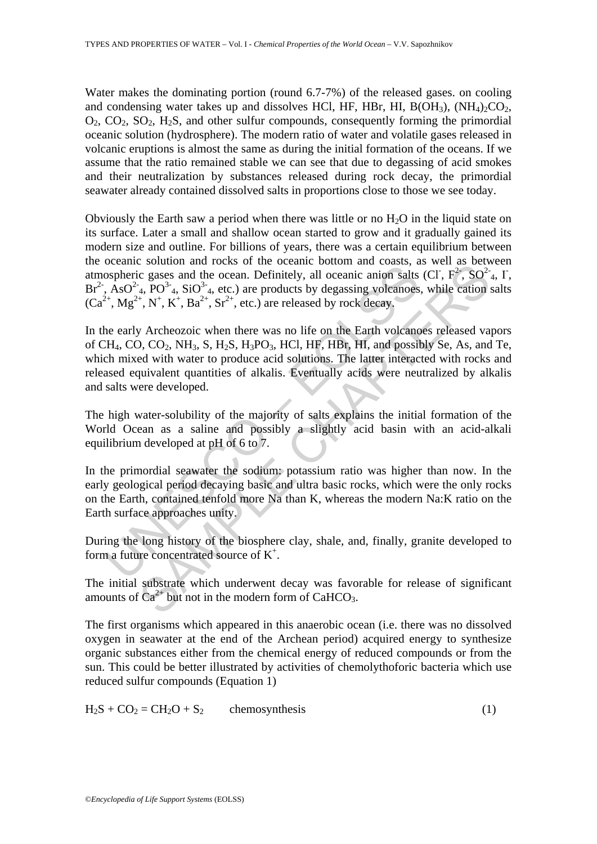Water makes the dominating portion (round 6.7-7%) of the released gases. on cooling and condensing water takes up and dissolves HCl, HF, HBr, HI,  $B(OH_3)$ ,  $(NH_4)_2CO_2$ ,  $O_2$ ,  $CO_2$ ,  $SO_2$ ,  $H_2S$ , and other sulfur compounds, consequently forming the primordial oceanic solution (hydrosphere). The modern ratio of water and volatile gases released in volcanic eruptions is almost the same as during the initial formation of the oceans. If we assume that the ratio remained stable we can see that due to degassing of acid smokes and their neutralization by substances released during rock decay, the primordial seawater already contained dissolved salts in proportions close to those we see today.

Obviously the Earth saw a period when there was little or no  $H_2O$  in the liquid state on its surface. Later a small and shallow ocean started to grow and it gradually gained its modern size and outline. For billions of years, there was a certain equilibrium between the oceanic solution and rocks of the oceanic bottom and coasts, as well as between atmospheric gases and the ocean. Definitely, all oceanic anion salts (Cl,  $F^2$ ,  $SO^2$ <sub>4</sub>, I,  $Br<sup>2</sup>$ , AsO<sup>2-</sup><sub>4</sub>, PO<sup>3-</sup><sub>4</sub>, SiO<sup>3-</sup><sub>4</sub>, etc.) are products by degassing volcanoes, while cation salts  $(Ca^{2+}, Mg^{2+}, N^+, K^+, Ba^{2+}, Sr^{2+}, etc.)$  are released by rock decay.

bospheric gases and the ocean. Definitely, all oceanic anion salts, AsO<sup>2-</sup><sub>4</sub>, PO<sup>3-</sup>4, SiO<sup>3-</sup>4, etc.) are products by degassing volcanoes,  $2^{2+}$ ,  $Mg^{2+}$ ,  $N^+$ ,  $K^+$ ,  $Ba^{2+}$ ,  $Sr^{2+}$ , etc.) are released by rock solution and focus of our occanne colour and coasts, as well as<br>
c gases and the ocean. Definitely, all oceanic anion salts (CI; F<sup>2</sup>; SO<sup>2</sup><br>
<sup>1</sup><sub>4</sub>, PO<sup>3</sup><sub>4</sub>, SO<sup>2</sup><sub>4</sub>, etc.) are products by degassing volcanoes, while ca In the early Archeozoic when there was no life on the Earth volcanoes released vapors of CH<sub>4</sub>, CO, CO<sub>2</sub>, NH<sub>3</sub>, S, H<sub>2</sub>S, H<sub>3</sub>PO<sub>3</sub>, HCl, HF, HBr, HI, and possibly Se, As, and Te, which mixed with water to produce acid solutions. The latter interacted with rocks and released equivalent quantities of alkalis. Eventually acids were neutralized by alkalis and salts were developed.

The high water-solubility of the majority of salts explains the initial formation of the World Ocean as a saline and possibly a slightly acid basin with an acid-alkali equilibrium developed at pH of 6 to 7.

In the primordial seawater the sodium: potassium ratio was higher than now. In the early geological period decaying basic and ultra basic rocks, which were the only rocks on the Earth, contained tenfold more Na than K, whereas the modern Na:K ratio on the Earth surface approaches unity.

During the long history of the biosphere clay, shale, and, finally, granite developed to form a future concentrated source of K<sup>+</sup>.

The initial substrate which underwent decay was favorable for release of significant amounts of  $Ca^{2+}$  but not in the modern form of CaHCO<sub>3</sub>.

The first organisms which appeared in this anaerobic ocean (i.e. there was no dissolved oxygen in seawater at the end of the Archean period) acquired energy to synthesize organic substances either from the chemical energy of reduced compounds or from the sun. This could be better illustrated by activities of chemolythoforic bacteria which use reduced sulfur compounds (Equation 1)

 $H_2S + CO_2 = CH_2O + S_2$  chemosynthesis (1)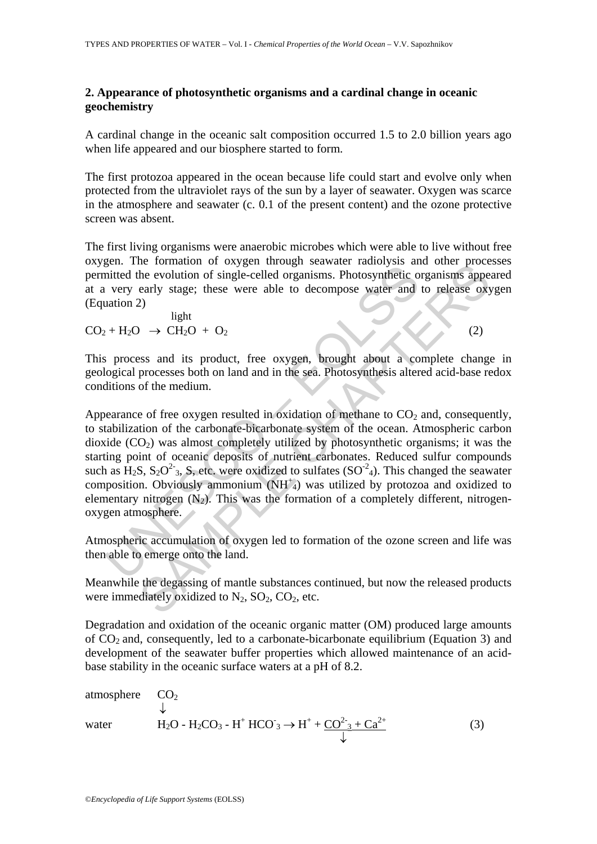## **2. Appearance of photosynthetic organisms and a cardinal change in oceanic geochemistry**

A cardinal change in the oceanic salt composition occurred 1.5 to 2.0 billion years ago when life appeared and our biosphere started to form.

The first protozoa appeared in the ocean because life could start and evolve only when protected from the ultraviolet rays of the sun by a layer of seawater. Oxygen was scarce in the atmosphere and seawater (c. 0.1 of the present content) and the ozone protective screen was absent.

The first living organisms were anaerobic microbes which were able to live without free oxygen. The formation of oxygen through seawater radiolysis and other processes permitted the evolution of single-celled organisms. Photosynthetic organisms appeared at a very early stage; these were able to decompose water and to release oxygen (Equation 2)

 light  $CO_2 + H_2O \rightarrow CH_2O + O_2$  (2)

This process and its product, free oxygen, brought about a complete change in geological processes both on land and in the sea. Photosynthesis altered acid-base redox conditions of the medium.

Leading the evolution of single-celled organisms. Photosynthetic or<br>initied the evolution of single-celled organisms. Photosynthetic or<br>initied the evolution of single-celled organisms. Photosynthetic or<br>initial 2) light<br> Entimation of oxygen into the continuous accelerate intervies and other process and the evolution of single-celled organisms. Photosynthetic organisms appearly stage; these were able to decompose water and to release oxy<br> Appearance of free oxygen resulted in oxidation of methane to  $CO<sub>2</sub>$  and, consequently, to stabilization of the carbonate-bicarbonate system of the ocean. Atmospheric carbon dioxide  $(CO<sub>2</sub>)$  was almost completely utilized by photosynthetic organisms; it was the starting point of oceanic deposits of nutrient carbonates. Reduced sulfur compounds such as  $H_2S$ ,  $S_2O^2$ <sub>3</sub>, S, etc. were oxidized to sulfates (SO<sup>-2</sup><sub>4</sub>). This changed the seawater composition. Obviously ammonium  $(NH^{\dagger}_{4})$  was utilized by protozoa and oxidized to elementary nitrogen  $(N_2)$ . This was the formation of a completely different, nitrogenoxygen atmosphere.

Atmospheric accumulation of oxygen led to formation of the ozone screen and life was then able to emerge onto the land.

Meanwhile the degassing of mantle substances continued, but now the released products were immediately oxidized to  $N_2$ ,  $SO_2$ ,  $CO_2$ , etc.

Degradation and oxidation of the oceanic organic matter (OM) produced large amounts of  $CO<sub>2</sub>$  and, consequently, led to a carbonate-bicarbonate equilibrium (Equation 3) and development of the seawater buffer properties which allowed maintenance of an acidbase stability in the oceanic surface waters at a pH of 8.2.

atmosphere 
$$
CO_2
$$
  
\n $\downarrow$   
\nwater  $H_2O - H_2CO_3 - H^+ HCO_3 \rightarrow H^+ + \underline{CO^2}_{3} + \underline{Ca^{2+}}}$  (3)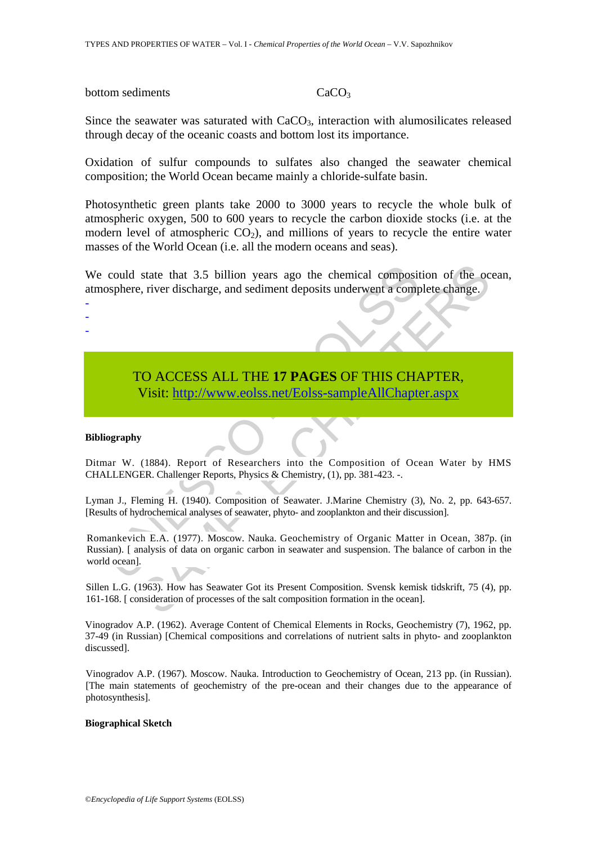#### bottom sediments CaCO<sub>3</sub>

Since the seawater was saturated with  $CaCO<sub>3</sub>$ , interaction with alumosilicates released through decay of the oceanic coasts and bottom lost its importance.

Oxidation of sulfur compounds to sulfates also changed the seawater chemical composition; the World Ocean became mainly a chloride-sulfate basin.

Photosynthetic green plants take 2000 to 3000 years to recycle the whole bulk of atmospheric oxygen, 500 to 600 years to recycle the carbon dioxide stocks (i.e. at the modern level of atmospheric  $CO<sub>2</sub>$ ), and millions of years to recycle the entire water masses of the World Ocean (i.e. all the modern oceans and seas).

We could state that 3.5 billion years ago the chemical composition of the ocean, atmosphere, river discharge, and sediment deposits underwent a complete change.

# TO ACCESS ALL THE **17 PAGES** OF THIS CHAPTER, Visit: http://www.eolss.net/Eolss-sampleAllChapter.aspx

#### **Bibliography**

- - -

Ditmar W. (1884). Report of Researchers into the Composition of Ocean Water by HMS CHALLENGER. Challenger Reports, Physics & Chemistry, (1), pp. 381-423. -.

Lyman J., Fleming H. (1940). Composition of Seawater. J.Marine Chemistry (3), No. 2, pp. 643-657. [Results of hydrochemical analyses of seawater, phyto- and zooplankton and their discussion].

could state that 3.5 billion years ago the chemical composit<br>osphere, river discharge, and sediment deposits underwent a comp<br>
TO ACCESS ALL THE 17 PAGES OF THIS CHA<br>
Visit: http://www.eolss.net/Eolss-sampleAllChapts<br>
ogra state that 3.5 billion years ago the chemical composition of the oce, river discharge, and sediment deposits underwent a complete change.<br>
See, river discharge, and sediment deposits underwent a complete change.<br>
See, rive Romankevich E.A. (1977). Moscow. Nauka. Geochemistry of Organic Matter in Ocean, 387p. (in Russian). [ analysis of data on organic carbon in seawater and suspension. The balance of carbon in the world ocean].

Sillen L.G. (1963). How has Seawater Got its Present Composition. Svensk kemisk tidskrift, 75 (4), pp. 161-168. [ consideration of processes of the salt composition formation in the ocean].

Vinogradov A.P. (1962). Average Content of Chemical Elements in Rocks, Geochemistry (7), 1962, pp. 37-49 (in Russian) [Chemical compositions and correlations of nutrient salts in phyto- and zooplankton discussed].

Vinogradov A.P. (1967). Moscow. Nauka. Introduction to Geochemistry of Ocean, 213 pp. (in Russian). [The main statements of geochemistry of the pre-ocean and their changes due to the appearance of photosynthesis].

#### **Biographical Sketch**